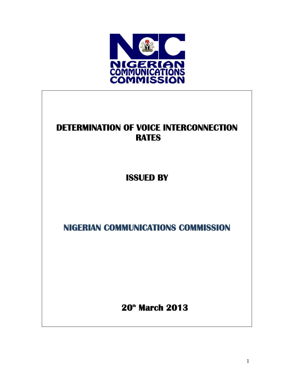

# **DETERMINATION OF VOICE INTERCONNECTION RATES**

**ISSUED BY** 

**NIGERIAN COMMUNICATIONS COMMISSION** 

 **20th March 2013**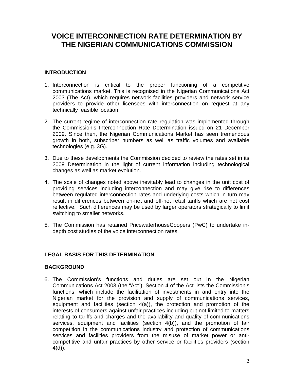## **VOICE INTERCONNECTION RATE DETERMINATION BY THE NIGERIAN COMMUNICATIONS COMMISSION**

## **INTRODUCTION**

- 1. Interconnection is critical to the proper functioning of a competitive communications market. This is recognised in the Nigerian Communications Act 2003 (The Act), which requires network facilities providers and network service providers to provide other licensees with interconnection on request at any technically feasible location.
- 2. The current regime of interconnection rate regulation was implemented through the Commission's Interconnection Rate Determination issued on 21 December 2009. Since then, the Nigerian Communications Market has seen tremendous growth in both, subscriber numbers as well as traffic volumes and available technologies (e.g. 3G).
- 3. Due to these developments the Commission decided to review the rates set in its 2009 Determination in the light of current information including technological changes as well as market evolution.
- 4. The scale of changes noted above inevitably lead to changes in the unit cost of providing services including interconnection and may give rise to differences between regulated interconnection rates and underlying costs which in turn may result in differences between on-net and off-net retail tariffs which are not cost reflective. Such differences may be used by larger operators strategically to limit switching to smaller networks.
- 5. The Commission has retained PricewaterhouseCoopers (PwC) to undertake indepth cost studies of the voice interconnection rates.

## **LEGAL BASIS FOR THIS DETERMINATION**

## **BACKGROUND**

6. The Commission's functions and duties are set out i**n** the Nigerian Communications Act 2003 (the "Act"). Section 4 of the Act lists the Commission's functions, which include the facilitation of investments in and entry into the Nigerian market for the provision and supply of communications services, equipment and facilities (section 4(a)), the protection and promotion of the interests of consumers against unfair practices including but not limited to matters relating to tariffs and charges and the availability and quality of communications services, equipment and facilities (section 4(b)), and the promotion of fair competition in the communications industry and protection of communications services and facilities providers from the misuse of market power or anticompetitive and unfair practices by other service or facilities providers (section 4(d)).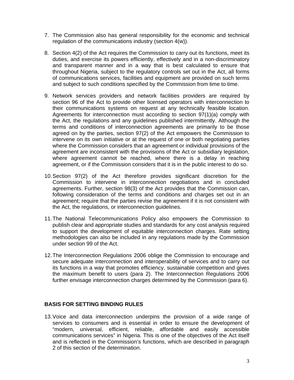- 7. The Commission also has general responsibility for the economic and technical regulation of the communications industry (section 4(w)).
- 8. Section 4(2) of the Act requires the Commission to carry out its functions, meet its duties, and exercise its powers efficiently, effectively and in a non-discriminatory and transparent manner and in a way that is best calculated to ensure that throughout Nigeria, subject to the regulatory controls set out in the Act, all forms of communications services, facilities and equipment are provided on such terms and subject to such conditions specified by the Commission from time to time.
- 9. Network services providers and network facilities providers are required by section 96 of the Act to provide other licensed operators with interconnection to their communications systems on request at any technically feasible location. Agreements for interconnection must according to section 97(1)(a) comply with the Act, the regulations and any guidelines published intermittently. Although the terms and conditions of interconnection agreements are primarily to be those agreed on by the parties, section 97(2) of the Act empowers the Commission to intervene on its own initiative or at the request of one or both negotiating parties where the Commission considers that an agreement or individual provisions of the agreement are inconsistent with the provisions of the Act or subsidiary legislation, where agreement cannot be reached, where there is a delay in reaching agreement, or if the Commission considers that it is in the public interest to do so.
- 10. Section 97(2) of the Act therefore provides significant discretion for the Commission to intervene in interconnection negotiations and in concluded agreements. Further, section 98(3) of the Act provides that the Commission can, following consideration of the terms and conditions and charges set out in an agreement; require that the parties revise the agreement if it is not consistent with the Act, the regulations, or interconnection guidelines.
- 11. The National Telecommunications Policy also empowers the Commission to publish clear and appropriate studies and standards for any cost analysis required to support the development of equitable interconnection charges. Rate setting methodologies can also be included in any regulations made by the Commission under section 99 of the Act.
- 12. The Interconnection Regulations 2006 oblige the Commission to encourage and secure adequate interconnection and interoperability of services and to carry out its functions in a way that promotes efficiency, sustainable competition and gives the maximum benefit to users (para 2). The Interconnection Regulations 2006 further envisage interconnection charges determined by the Commission (para 6).

## **BASIS FOR SETTING BINDING RULES**

13. Voice and data interconnection underpins the provision of a wide range of services to consumers and is essential in order to ensure the development of "modern, universal, efficient, reliable, affordable and easily accessible communications services" in Nigeria. This is one of the objectives of the Act itself and is reflected in the Commission's functions, which are described in paragraph 2 of this section of the determination.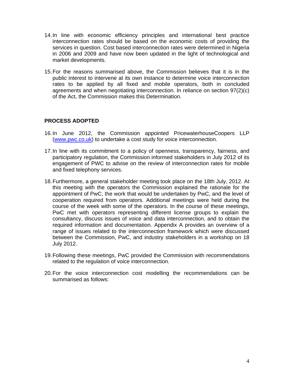- 14. In line with economic efficiency principles and international best practice interconnection rates should be based on the economic costs of providing the services in question. Cost based interconnection rates were determined in Nigeria in 2006 and 2009 and have now been updated in the light of technological and market developments.
- 15. For the reasons summarised above, the Commission believes that it is in the public interest to intervene at its own instance to determine voice interconnection rates to be applied by all fixed and mobile operators, both in concluded agreements and when negotiating interconnection. In reliance on section 97(2)(c) of the Act, the Commission makes this Determination.

## **PROCESS ADOPTED**

- 16. In June 2012, the Commission appointed PricewaterhouseCoopers LLP (www.pwc.co.uk) to undertake a cost study for voice interconnection.
- 17. In line with its commitment to a policy of openness, transparency, fairness, and participatory regulation, the Commission informed stakeholders in July 2012 of its engagement of PWC to advise on the review of interconnection rates for mobile and fixed telephony services.
- 18. Furthermore, a general stakeholder meeting took place on the 18th July, 2012. At this meeting with the operators the Commission explained the rationale for the appointment of PwC, the work that would be undertaken by PwC, and the level of cooperation required from operators. Additional meetings were held during the course of the week with some of the operators. In the course of these meetings, PwC met with operators representing different license groups to explain the consultancy, discuss issues of voice and data interconnection, and to obtain the required information and documentation. Appendix A provides an overview of a range of issues related to the interconnection framework which were discussed between the Commission, PwC, and industry stakeholders in a workshop on 18 July 2012.
- 19. Following these meetings, PwC provided the Commission with recommendations related to the regulation of voice interconnection.
- 20. For the voice interconnection cost modelling the recommendations can be summarised as follows: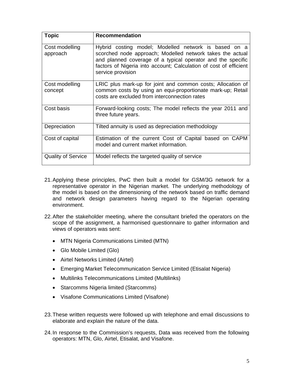| <b>Topic</b>               | <b>Recommendation</b>                                                                                                                                                                                                                                                      |
|----------------------------|----------------------------------------------------------------------------------------------------------------------------------------------------------------------------------------------------------------------------------------------------------------------------|
| Cost modelling<br>approach | Hybrid costing model; Modelled network is based on a<br>scorched node approach; Modelled network takes the actual<br>and planned coverage of a typical operator and the specific<br>factors of Nigeria into account; Calculation of cost of efficient<br>service provision |
| Cost modelling<br>concept  | LRIC plus mark-up for joint and common costs; Allocation of<br>common costs by using an equi-proportionate mark-up; Retail<br>costs are excluded from interconnection rates                                                                                                |
| Cost basis                 | Forward-looking costs; The model reflects the year 2011 and<br>three future years.                                                                                                                                                                                         |
| Depreciation               | Tilted annuity is used as depreciation methodology                                                                                                                                                                                                                         |
| Cost of capital            | Estimation of the current Cost of Capital based on CAPM<br>model and current market information.                                                                                                                                                                           |
| <b>Quality of Service</b>  | Model reflects the targeted quality of service                                                                                                                                                                                                                             |

- 21. Applying these principles, PwC then built a model for GSM/3G network for a representative operator in the Nigerian market. The underlying methodology of the model is based on the dimensioning of the network based on traffic demand and network design parameters having regard to the Nigerian operating environment.
- 22. After the stakeholder meeting, where the consultant briefed the operators on the scope of the assignment, a harmonised questionnaire to gather information and views of operators was sent:
	- MTN Nigeria Communications Limited (MTN)
	- Glo Mobile Limited (Glo)
	- Airtel Networks Limited (Airtel)
	- Emerging Market Telecommunication Service Limited (Etisalat Nigeria)
	- Multilinks Telecommunications Limited (Multilinks)
	- Starcomms Nigeria limited (Starcomms)
	- Visafone Communications Limited (Visafone)
- 23. These written requests were followed up with telephone and email discussions to elaborate and explain the nature of the data.
- 24. In response to the Commission's requests, Data was received from the following operators: MTN, Glo, Airtel, Etisalat, and Visafone.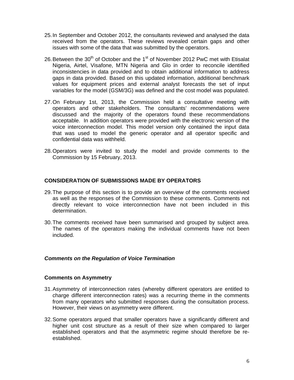- 25. In September and October 2012, the consultants reviewed and analysed the data received from the operators. These reviews revealed certain gaps and other issues with some of the data that was submitted by the operators.
- 26. Between the  $30<sup>th</sup>$  of October and the 1<sup>st</sup> of November 2012 PwC met with Etisalat Nigeria, Airtel, Visafone, MTN Nigeria and Glo in order to reconcile identified inconsistencies in data provided and to obtain additional information to address gaps in data provided. Based on this updated information, additional benchmark values for equipment prices and external analyst forecasts the set of input variables for the model (GSM/3G) was defined and the cost model was populated.
- 27. On February 1st, 2013, the Commission held a consultative meeting with operators and other stakeholders. The consultants' recommendations were discussed and the majority of the operators found these recommendations acceptable. In addition operators were provided with the electronic version of the voice interconnection model. This model version only contained the input data that was used to model the generic operator and all operator specific and confidential data was withheld.
- 28. Operators were invited to study the model and provide comments to the Commission by 15 February, 2013.

## **CONSIDERATION OF SUBMISSIONS MADE BY OPERATORS**

- 29. The purpose of this section is to provide an overview of the comments received as well as the responses of the Commission to these comments. Comments not directly relevant to voice interconnection have not been included in this determination.
- 30. The comments received have been summarised and grouped by subject area. The names of the operators making the individual comments have not been included.

## *Comments on the Regulation of Voice Termination*

#### **Comments on Asymmetry**

- 31. Asymmetry of interconnection rates (whereby different operators are entitled to charge different interconnection rates) was a recurring theme in the comments from many operators who submitted responses during the consultation process. However, their views on asymmetry were different.
- 32. Some operators argued that smaller operators have a significantly different and higher unit cost structure as a result of their size when compared to larger established operators and that the asymmetric regime should therefore be reestablished.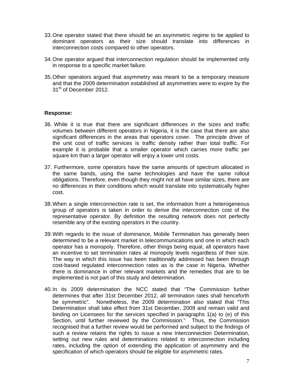- 33. One operator stated that there should be an asymmetric regime to be applied to dominant operators as their size should translate into differences in interconnection costs compared to other operators.
- 34. One operator argued that interconnection regulation should be implemented only in response to a specific market failure.
- 35. Other operators argued that asymmetry was meant to be a temporary measure and that the 2009 determination established all asymmetries were to expire by the 31<sup>st</sup> of December 2012.

#### **Response:**

- 36. While it is true that there are significant differences in the sizes and traffic volumes between different operators in Nigeria, it is the case that there are also significant differences in the areas that operators cover. The principle driver of the unit cost of traffic services is traffic density rather than total traffic. For example it is probable that a smaller operator which carries more traffic per square km than a larger operator will enjoy a lower unit costs.
- 37. Furthermore, some operators have the same amounts of spectrum allocated in the same bands, using the same technologies and have the same rollout obligations. Therefore, even though they might not all have similar sizes, there are no differences in their conditions which would translate into systematically higher cost.
- 38. When a single interconnection rate is set, the information from a heterogeneous group of operators is taken in order to derive the interconnection cost of the representative operator. By definition the resulting network does not perfectly resemble any of the existing operators in the country.
- 39. With regards to the issue of dominance, Mobile Termination has generally been determined to be a relevant market in telecommunications and one in which each operator has a monopoly. Therefore, other things being equal, all operators have an incentive to set termination rates at monopoly levels regardless of their size. The way in which this issue has been traditionally addressed has been through cost-based regulated interconnection rates as is the case in Nigeria. Whether there is dominance in other relevant markets and the remedies that are to be implemented is not part of this study and determination.
- 40. In its 2009 determination the NCC stated that "The Commission further determines that after 31st December 2012, all termination rates shall henceforth be symmetric". Nonetheless, the 2009 determination also stated that "This Determination shall take effect from 31st December, 2009 and remain valid and binding on Licensees for the services specified in paragraphs 1(a) to (e) of this Section, until further reviewed by the Commission." Thus, the Commission recognised that a further review would be performed and subject to the findings of such a review retains the rights to issue a new Interconnection Determination, setting out new rules and determinations related to interconnection including rates, including the option of extending the application of asymmetry and the specification of which operators should be eligible for asymmetric rates.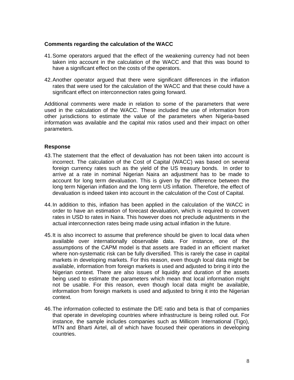#### **Comments regarding the calculation of the WACC**

- 41. Some operators argued that the effect of the weakening currency had not been taken into account in the calculation of the WACC and that this was bound to have a significant effect on the costs of the operators.
- 42. Another operator argued that there were significant differences in the inflation rates that were used for the calculation of the WACC and that these could have a significant effect on interconnection rates going forward.

Additional comments were made in relation to some of the parameters that were used in the calculation of the WACC. These included the use of information from other jurisdictions to estimate the value of the parameters when Nigeria-based information was available and the capital mix ratios used and their impact on other parameters.

#### **Response**

- 43. The statement that the effect of devaluation has not been taken into account is incorrect. The calculation of the Cost of Capital (WACC) was based on several foreign currency rates such as the yield of the US treasury bonds. In order to arrive at a rate in nominal Nigerian Naira an adjustment has to be made to account for long term devaluation. This is given by the difference between the long term Nigerian inflation and the long term US inflation. Therefore, the effect of devaluation is indeed taken into account in the calculation of the Cost of Capital.
- 44. In addition to this, inflation has been applied in the calculation of the WACC in order to have an estimation of forecast devaluation, which is required to convert rates in USD to rates in Naira. This however does not preclude adjustments in the actual interconnection rates being made using actual inflation in the future.
- 45. It is also incorrect to assume that preference should be given to local data when available over internationally observable data. For instance, one of the assumptions of the CAPM model is that assets are traded in an efficient market where non-systematic risk can be fully diversified. This is rarely the case in capital markets in developing markets. For this reason, even though local data might be available, information from foreign markets is used and adjusted to bring it into the Nigerian context. There are also issues of liquidity and duration of the assets being used to estimate the parameters which mean that local information might not be usable. For this reason, even though local data might be available, information from foreign markets is used and adjusted to bring it into the Nigerian context.
- 46. The information collected to estimate the D/E ratio and beta is that of companies that operate in developing countries where infrastructure is being rolled out. For instance, the sample includes companies such as Millicom International (Tigo), MTN and Bharti Airtel, all of which have focused their operations in developing countries.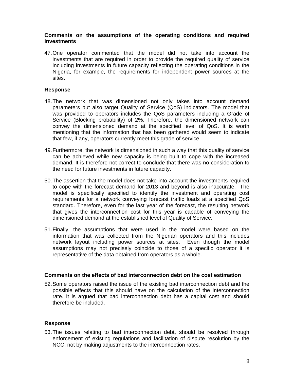#### **Comments on the assumptions of the operating conditions and required investments**

47. One operator commented that the model did not take into account the investments that are required in order to provide the required quality of service including investments in future capacity reflecting the operating conditions in the Nigeria, for example, the requirements for independent power sources at the sites.

#### **Response**

- 48. The network that was dimensioned not only takes into account demand parameters but also target Quality of Service (QoS) indicators. The model that was provided to operators includes the QoS parameters including a Grade of Service (Blocking probability) of 2%. Therefore, the dimensioned network can convey the dimensioned demand at the specified level of QoS. It is worth mentioning that the information that has been gathered would seem to indicate that few, if any, operators currently meet this grade of service.
- 49. Furthermore, the network is dimensioned in such a way that this quality of service can be achieved while new capacity is being built to cope with the increased demand. It is therefore not correct to conclude that there was no consideration to the need for future investments in future capacity.
- 50. The assertion that the model does not take into account the investments required to cope with the forecast demand for 2013 and beyond is also inaccurate. The model is specifically specified to identify the investment and operating cost requirements for a network conveying forecast traffic loads at a specified QoS standard. Therefore, even for the last year of the forecast, the resulting network that gives the interconnection cost for this year is capable of conveying the dimensioned demand at the established level of Quality of Service.
- 51. Finally, the assumptions that were used in the model were based on the information that was collected from the Nigerian operators and this includes network layout including power sources at sites. Even though the model assumptions may not precisely coincide to those of a specific operator it is representative of the data obtained from operators as a whole.

#### **Comments on the effects of bad interconnection debt on the cost estimation**

52. Some operators raised the issue of the existing bad interconnection debt and the possible effects that this should have on the calculation of the interconnection rate. It is argued that bad interconnection debt has a capital cost and should therefore be included.

#### **Response**

53. The issues relating to bad interconnection debt, should be resolved through enforcement of existing regulations and facilitation of dispute resolution by the NCC, not by making adjustments to the interconnection rates.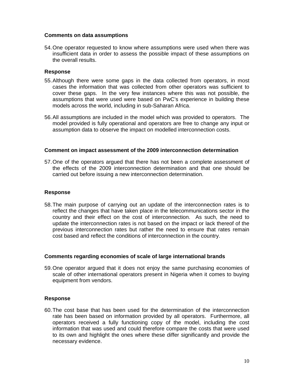#### **Comments on data assumptions**

54. One operator requested to know where assumptions were used when there was insufficient data in order to assess the possible impact of these assumptions on the overall results.

#### **Response**

- 55. Although there were some gaps in the data collected from operators, in most cases the information that was collected from other operators was sufficient to cover these gaps. In the very few instances where this was not possible, the assumptions that were used were based on PwC's experience in building these models across the world, including in sub-Saharan Africa.
- 56. All assumptions are included in the model which was provided to operators. The model provided is fully operational and operators are free to change any input or assumption data to observe the impact on modelled interconnection costs.

#### **Comment on impact assessment of the 2009 interconnection determination**

57. One of the operators argued that there has not been a complete assessment of the effects of the 2009 interconnection determination and that one should be carried out before issuing a new interconnection determination.

#### **Response**

58. The main purpose of carrying out an update of the interconnection rates is to reflect the changes that have taken place in the telecommunications sector in the country and their effect on the cost of interconnection. As such, the need to update the interconnection rates is not based on the impact or lack thereof of the previous interconnection rates but rather the need to ensure that rates remain cost based and reflect the conditions of interconnection in the country.

#### **Comments regarding economies of scale of large international brands**

59. One operator argued that it does not enjoy the same purchasing economies of scale of other international operators present in Nigeria when it comes to buying equipment from vendors.

## **Response**

60. The cost base that has been used for the determination of the interconnection rate has been based on information provided by all operators. Furthermore, all operators received a fully functioning copy of the model, including the cost information that was used and could therefore compare the costs that were used to its own and highlight the ones where these differ significantly and provide the necessary evidence.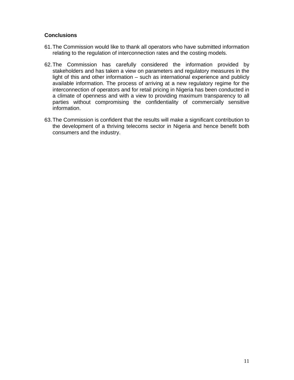## **Conclusions**

- 61. The Commission would like to thank all operators who have submitted information relating to the regulation of interconnection rates and the costing models.
- 62. The Commission has carefully considered the information provided by stakeholders and has taken a view on parameters and regulatory measures in the light of this and other information – such as international experience and publicly available information. The process of arriving at a new regulatory regime for the interconnection of operators and for retail pricing in Nigeria has been conducted in a climate of openness and with a view to providing maximum transparency to all parties without compromising the confidentiality of commercially sensitive information.
- 63. The Commission is confident that the results will make a significant contribution to the development of a thriving telecoms sector in Nigeria and hence benefit both consumers and the industry.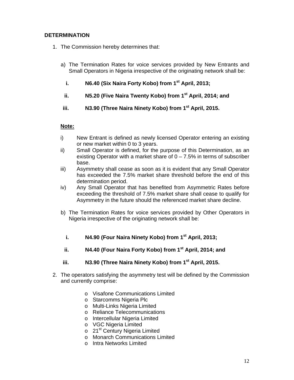## **DETERMINATION**

- 1. The Commission hereby determines that:
	- a) The Termination Rates for voice services provided by New Entrants and Small Operators in Nigeria irrespective of the originating network shall be:
		- **i. N6.40 (Six Naira Forty Kobo) from 1st April, 2013;**
		- **ii. N5.20 (Five Naira Twenty Kobo) from 1st April, 2014; and**
	- **iii. N3.90 (Three Naira Ninety Kobo) from 1st April, 2015.**

## **Note:**

- i) New Entrant is defined as newly licensed Operator entering an existing or new market within 0 to 3 years.
- ii) Small Operator is defined, for the purpose of this Determination, as an existing Operator with a market share of  $0 - 7.5\%$  in terms of subscriber base.
- iii) Asymmetry shall cease as soon as it is evident that any Small Operator has exceeded the 7.5% market share threshold before the end of this determination period.
- iv) Any Small Operator that has benefited from Asymmetric Rates before exceeding the threshold of 7.5% market share shall cease to qualify for Asymmetry in the future should the referenced market share decline.
- b) The Termination Rates for voice services provided by Other Operators in Nigeria irrespective of the originating network shall be:
	- **i. N4.90 (Four Naira Ninety Kobo) from 1st April, 2013;**
	- **ii. N4.40 (Four Naira Forty Kobo) from 1st April, 2014; and**
- iii. N3.90 (Three Naira Ninety Kobo) from 1<sup>st</sup> April, 2015.
- 2. The operators satisfying the asymmetry test will be defined by the Commission and currently comprise:
	- o Visafone Communications Limited
	- o Starcomms Nigeria Plc
	- o Multi-Links Nigeria Limited
	- o Reliance Telecommunications
	- o Intercellular Nigeria Limited
	- o VGC Nigeria Limited
	- o 21<sup>st</sup> Century Nigeria Limited
	- o Monarch Communications Limited
	- o Intra Networks Limited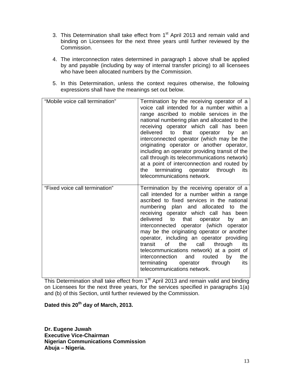- 3. This Determination shall take effect from 1<sup>st</sup> April 2013 and remain valid and binding on Licensees for the next three years until further reviewed by the Commission.
- 4. The interconnection rates determined in paragraph 1 above shall be applied by and payable (including by way of internal transfer pricing) to all licensees who have been allocated numbers by the Commission.
- 5. In this Determination, unless the context requires otherwise, the following expressions shall have the meanings set out below.

| "Mobile voice call termination" | Termination by the receiving operator of a<br>voice call intended for a number within a<br>range ascribed to mobile services in the<br>national numbering plan and allocated to the<br>receiving operator which call has been<br>delivered to that<br>operator<br>by<br>an<br>interconnected operator (which may be the<br>originating operator or another operator,<br>including an operator providing transit of the<br>call through its telecommunications network)<br>at a point of interconnection and routed by<br>terminating<br>operator<br>through<br>the<br>its<br>telecommunications network.                                          |
|---------------------------------|---------------------------------------------------------------------------------------------------------------------------------------------------------------------------------------------------------------------------------------------------------------------------------------------------------------------------------------------------------------------------------------------------------------------------------------------------------------------------------------------------------------------------------------------------------------------------------------------------------------------------------------------------|
| "Fixed voice call termination"  | Termination by the receiving operator of a<br>call intended for a number within a range<br>ascribed to fixed services in the national<br>numbering plan and allocated<br>the<br>to<br>receiving operator which call has been<br>delivered<br>to<br>that<br>operator<br>by<br>an<br>interconnected operator (which operator<br>may be the originating operator or another<br>operator, including an operator providing<br>through<br>the<br>call<br>transit<br>of<br>its<br>telecommunications network) at a point of<br>interconnection<br>and<br>routed<br>by<br>the<br>through<br>terminating<br>operator<br>its<br>telecommunications network. |

This Determination shall take effect from 1<sup>st</sup> April 2013 and remain valid and binding on Licensees for the next three years, for the services specified in paragraphs 1(a) and (b) of this Section, until further reviewed by the Commission.

## **Dated this 20th day of March, 2013.**

**Dr. Eugene Juwah Executive Vice-Chairman Nigerian Communications Commission Abuja – Nigeria.**